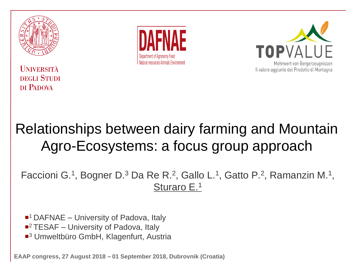

**I INIVERSITÀ DEGLI STUDI** DI PADOVA





#### Relationships between dairy farming and Mountain Agro-Ecosystems: a focus group approach

Faccioni G.<sup>1</sup>, Bogner D.<sup>3</sup> Da Re R.<sup>2</sup>, Gallo L.<sup>1</sup>, Gatto P.<sup>2</sup>, Ramanzin M.<sup>1</sup>, Sturaro E.<sup>1</sup>

- ■<sup>1</sup> DAFNAE University of Padova, Italy
- ■<sup>2</sup> TESAF University of Padova, Italy
- ■<sup>3</sup> Umweltbüro GmbH, Klagenfurt, Austria

*EAAP congress, 27 August 2018 – 01 September 2018, Dubrovnik (Croatia)*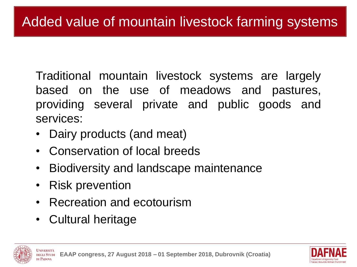Traditional mountain livestock systems are largely based on the use of meadows and pastures, providing several private and public goods and services:

- Dairy products (and meat)
- Conservation of local breeds
- Biodiversity and landscape maintenance
- **Risk prevention**
- Recreation and ecotourism
- Cultural heritage



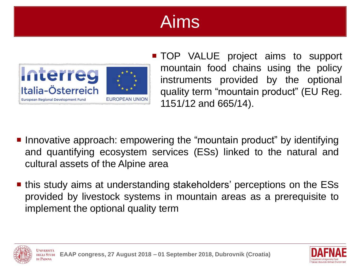# Aims



- **TOP VALUE project aims to support** mountain food chains using the policy instruments provided by the optional quality term "mountain product" (EU Reg. 1151/12 and 665/14).
- **Innovative approach: empowering the "mountain product" by identifying** and quantifying ecosystem services (ESs) linked to the natural and cultural assets of the Alpine area
- this study aims at understanding stakeholders' perceptions on the ESs provided by livestock systems in mountain areas as a prerequisite to implement the optional quality term





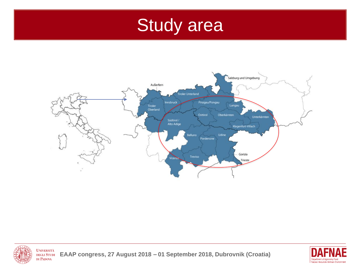### Study area





**UNIVERSITÀ** *EAAP congress, 27 August 2018 – 01 September 2018, Dubrovnik (Croatia)* **DEGLI STUDI** DI PADOVA

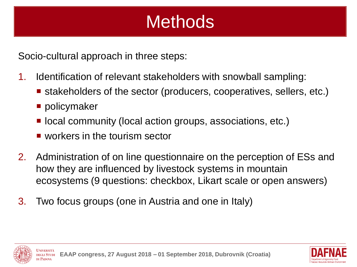## **Methods**

Socio-cultural approach in three steps:

- 1. Identification of relevant stakeholders with snowball sampling:
	- stakeholders of the sector (producers, cooperatives, sellers, etc.)
	- policymaker
	- local community (local action groups, associations, etc.)
	- workers in the tourism sector
- 2. Administration of on line questionnaire on the perception of ESs and how they are influenced by livestock systems in mountain ecosystems (9 questions: checkbox, Likart scale or open answers)
- 3. Two focus groups (one in Austria and one in Italy)



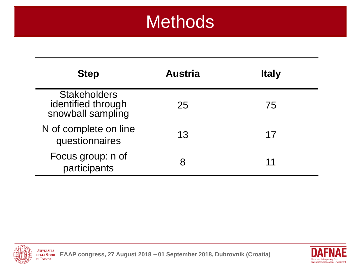### **Methods**

| <b>Step</b>                                                    | <b>Austria</b> | <b>Italy</b> |
|----------------------------------------------------------------|----------------|--------------|
| <b>Stakeholders</b><br>identified through<br>snowball sampling | 25             | 75           |
| N of complete on line<br>questionnaires                        | 13             | 17           |
| Focus group: n of<br>participants                              |                | 11           |



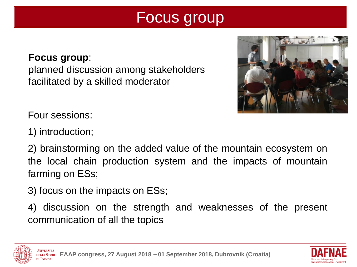#### Focus group

#### **Focus group**:

planned discussion among stakeholders facilitated by a skilled moderator



Four sessions:

1) introduction;

2) brainstorming on the added value of the mountain ecosystem on the local chain production system and the impacts of mountain farming on ESs;

- 3) focus on the impacts on ESs;
- 4) discussion on the strength and weaknesses of the present communication of all the topics





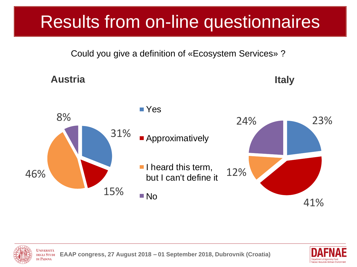# Results from on-line questionnaires

Could you give a definition of «Ecosystem Services» ?





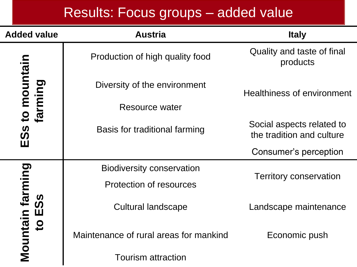#### Results: Focus groups – added value

| <b>Added value</b>                     | <b>Austria</b>                         | <b>Italy</b>                                           |  |
|----------------------------------------|----------------------------------------|--------------------------------------------------------|--|
|                                        | Production of high quality food        | Quality and taste of final<br>products                 |  |
| to mountain<br>farming                 | Diversity of the environment           | <b>Healthiness of environment</b>                      |  |
|                                        | <b>Resource water</b>                  |                                                        |  |
| <u> ၁၃</u>                             | Basis for traditional farming          | Social aspects related to<br>the tradition and culture |  |
| Ш                                      |                                        | Consumer's perception                                  |  |
|                                        | <b>Biodiversity conservation</b>       | <b>Territory conservation</b>                          |  |
|                                        | <b>Protection of resources</b>         |                                                        |  |
| Mountain farming<br>တိ<br>$\mathbf{H}$ | <b>Cultural landscape</b>              | Landscape maintenance                                  |  |
| $\mathbf{S}$                           | Maintenance of rural areas for mankind | Economic push                                          |  |
|                                        | <b>Tourism attraction</b>              |                                                        |  |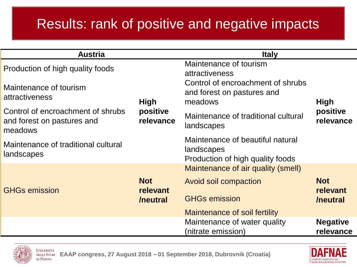#### Results: rank of positive and negative impacts

| <b>Austria</b>                                                             |                        | <b>Italy</b>                                                                       |                              |
|----------------------------------------------------------------------------|------------------------|------------------------------------------------------------------------------------|------------------------------|
| Production of high quality foods                                           |                        | Maintenance of tourism<br>attractiveness                                           |                              |
| Maintenance of tourism<br><b>attractiveness</b>                            | <b>High</b>            | Control of encroachment of shrubs<br>and forest on pastures and<br>meadows         | <b>High</b>                  |
| Control of encroachment of shrubs<br>and forest on pastures and<br>meadows | positive<br>relevance  | Maintenance of traditional cultural<br>landscapes                                  | positive<br>relevance        |
| Maintenance of traditional cultural<br>landscapes                          |                        | Maintenance of beautiful natural<br>landscapes<br>Production of high quality foods |                              |
|                                                                            |                        | Maintenance of air quality (smell)                                                 |                              |
| <b>GHGs emission</b>                                                       | <b>Not</b><br>relevant | Avoid soil compaction<br><b>GHGs emission</b>                                      | <b>Not</b><br>relevant       |
|                                                                            | /neutral               |                                                                                    | /neutral                     |
|                                                                            |                        | Maintenance of soil fertility                                                      |                              |
|                                                                            |                        | Maintenance of water quality<br>(nitrate emission)                                 | <b>Negative</b><br>relevance |



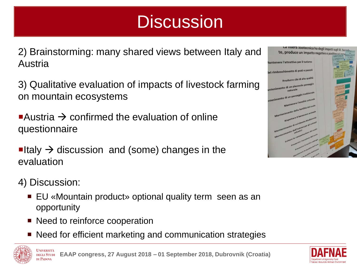# **Discussion**

2) Brainstorming: many shared views between Italy and Austria

3) Qualitative evaluation of impacts of livestock farming on mountain ecosystems

Austria  $\rightarrow$  confirmed the evaluation of online questionnaire

 $\blacksquare$ Italy  $\rightarrow$  discussion and (some) changes in the evaluation

4) Discussion:

di Padova

- EU «Mountain product» optional quality term seen as an opportunity
- Need to reinforce cooperation
- Need for efficient marketing and communication strategies





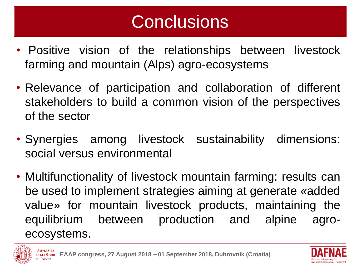# **Conclusions**

- Positive vision of the relationships between livestock farming and mountain (Alps) agro-ecosystems
- Relevance of participation and collaboration of different stakeholders to build a common vision of the perspectives of the sector
- Synergies among livestock sustainability dimensions: social versus environmental
- Multifunctionality of livestock mountain farming: results can be used to implement strategies aiming at generate «added value» for mountain livestock products, maintaining the equilibrium between production and alpine agroecosystems.